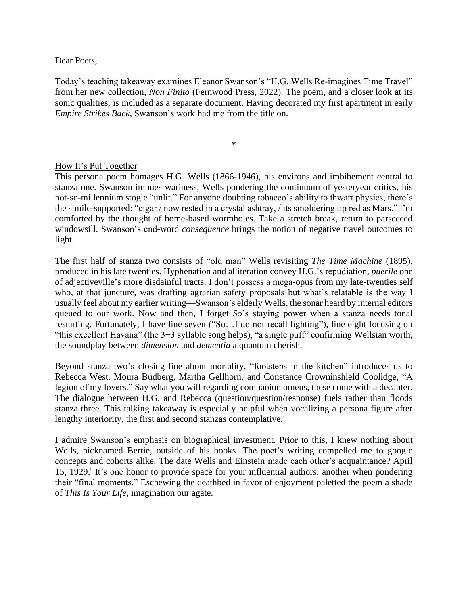Dear Poets,

Today's teaching takeaway examines Eleanor Swanson's "H.G. Wells Re-imagines Time Travel" from her new collection, *Non Finito* (Fernwood Press, 2022). The poem, and a closer look at its sonic qualities, is included as a separate document. Having decorated my first apartment in early *Empire Strikes Back*, Swanson's work had me from the title on.

**\***

## How It's Put Together

This persona poem homages H.G. Wells (1866-1946), his environs and imbibement central to stanza one. Swanson imbues wariness, Wells pondering the continuum of yesteryear critics, his not-so-millennium stogie "unlit." For anyone doubting tobacco's ability to thwart physics, there's the simile-supported: "cigar / now rested in a crystal ashtray, / its smoldering tip red as Mars." I'm comforted by the thought of home-based wormholes. Take a stretch break, return to parsecced windowsill. Swanson's end-word *consequence* brings the notion of negative travel outcomes to light.

The first half of stanza two consists of "old man" Wells revisiting *The Time Machine* (1895), produced in his late twenties. Hyphenation and alliteration convey H.G.'s repudiation, *puerile* one of adjectiveville's more disdainful tracts. I don't possess a mega-opus from my late-twenties self who, at that juncture, was drafting agrarian safety proposals but what's relatable is the way I usually feel about my earlier writing—Swanson's elderly Wells, the sonar heard by internal editors queued to our work. Now and then, I forget *So*'s staying power when a stanza needs tonal restarting. Fortunately, I have line seven ("So…I do not recall lighting"), line eight focusing on "this excellent Havana" (the 3+3 syllable song helps), "a single puff" confirming Wellsian worth, the soundplay between *dimension* and *dementia* a quantum cherish.

Beyond stanza two's closing line about mortality, "footsteps in the kitchen" introduces us to Rebecca West, Moura Budberg, Martha Gellhorn, and Constance Crowninshield Coolidge, "A legion of my lovers." Say what you will regarding companion omens, these come with a decanter. The dialogue between H.G. and Rebecca (question/question/response) fuels rather than floods stanza three. This talking takeaway is especially helpful when vocalizing a persona figure after lengthy interiority, the first and second stanzas contemplative.

I admire Swanson's emphasis on biographical investment. Prior to this, I knew nothing about Wells, nicknamed Bertie, outside of his books. The poet's writing compelled me to google concepts and cohorts alike. The date Wells and Einstein made each other's acquaintance? April 15, 1929.<sup>i</sup> It's one honor to provide space for your influential authors, another when pondering their "final moments." Eschewing the deathbed in favor of enjoyment paletted the poem a shade of *This Is Your Life,* imagination our agate.